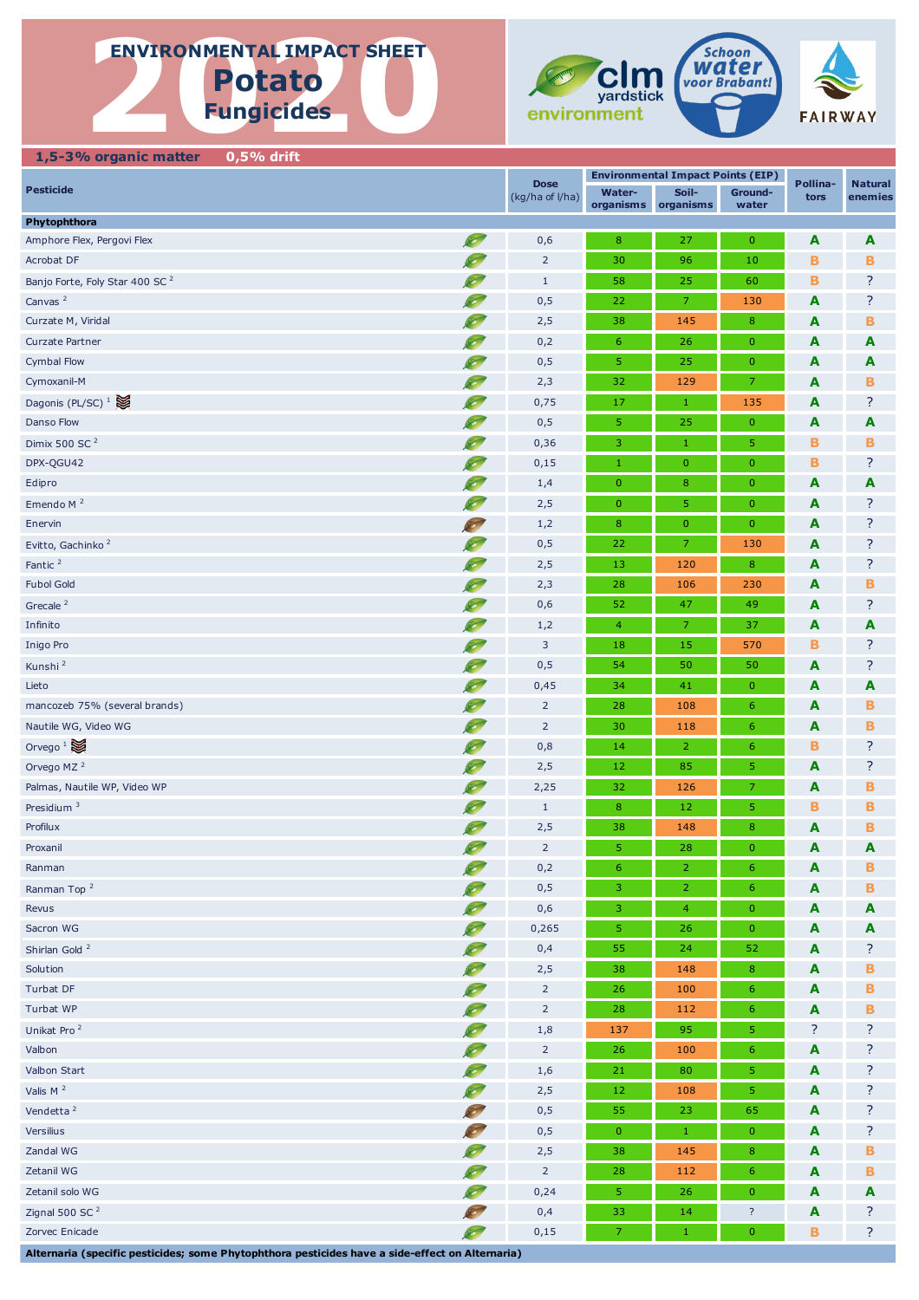# **ENVIRONMENTAL IMPACT SHEET**<br>
POTATO<br>
Fungicides **ENVIRONMENTAL IMPACT SHEET Potato**

**Fungicides**



## **1,5-3% organic matter 0,5% drift**

| <b>Pesticide</b>                                                                                |                                   | <b>Dose</b>     | <b>Environmental Impact Points (EIP)</b> |                                                  |                    | Pollina-         | <b>Natural</b> |
|-------------------------------------------------------------------------------------------------|-----------------------------------|-----------------|------------------------------------------|--------------------------------------------------|--------------------|------------------|----------------|
|                                                                                                 |                                   | (kg/ha of l/ha) | Water-                                   | Soil-<br>Ground-<br>organisms organisms<br>water |                    | tors             | enemies        |
| Phytophthora                                                                                    |                                   |                 |                                          |                                                  |                    |                  |                |
| Amphore Flex, Pergovi Flex                                                                      | S                                 | 0,6             | 8                                        | 27                                               | $\mathbf{0}$       | A                | A              |
| Acrobat DF                                                                                      | <b>SEP</b>                        | $\overline{2}$  | 30                                       | 96                                               | 10                 | в                | в              |
| Banjo Forte, Foly Star 400 SC <sup>2</sup>                                                      | Ø.                                | $\mathbf{1}$    | 58                                       | 25                                               | 60                 | в                | ?              |
| Canvas <sup>2</sup>                                                                             |                                   | 0,5             | 22                                       | $\overline{7}$                                   | 130                | A                | ?              |
| Curzate M, Viridal                                                                              | Ø                                 | 2,5             | 38                                       | 145                                              | 8                  | A                | в              |
| <b>Curzate Partner</b>                                                                          | S                                 | 0,2             | $6^{\circ}$                              | 26                                               | $\mathbf{0}$       | A                | A              |
| <b>Cymbal Flow</b>                                                                              | S                                 | 0,5             | 5                                        | 25                                               | $\mathbf{0}$       | A                | A              |
| Cymoxanil-M                                                                                     | $\infty$                          | 2,3             | 32                                       | 129                                              | 7                  | A                | в              |
| Dagonis (PL/SC) $1$                                                                             | $\sim$                            | 0,75            | 17                                       | $\mathbf{1}$                                     | 135                | A                | ?              |
| Danso Flow                                                                                      | $\sim$                            | 0,5             | 5                                        | 25                                               | $\mathbf{0}$       | A                | A              |
| Dimix 500 SC <sup>2</sup>                                                                       | S                                 | 0,36            | 3                                        | $\mathbf{1}$                                     | 5                  | в                | в              |
| DPX-QGU42                                                                                       | O                                 | 0,15            | $1\,$                                    | $\mathbf{0}$                                     | $\mathbf{0}$       | в                | ?              |
| Edipro                                                                                          | <b>SEP</b>                        | 1,4             | $\mathbf{0}$                             | 8                                                | $\mathbf 0$        | A                | A              |
| Emendo M <sup>2</sup>                                                                           | $\sim$                            | 2,5             | $\mathbf{0}$                             | 5                                                | $\mathbf{0}$       | A                | ?              |
| Enervin                                                                                         |                                   | 1,2             | $\bf 8$                                  | $\mathbf{0}$                                     | $\mathbf 0$        | A                | ?              |
| Evitto, Gachinko <sup>2</sup>                                                                   | Ø                                 | 0,5             | 22                                       | 7                                                | 130                | A                | ?              |
| Fantic <sup>2</sup>                                                                             | E                                 | 2,5             | 13                                       | 120                                              | 8                  | A                | ?              |
| <b>Fubol Gold</b>                                                                               | $\infty$                          | 2,3             | 28                                       | 106                                              | 230                | A                | в              |
| Grecale <sup>2</sup>                                                                            | <b>S</b>                          | 0,6             | 52                                       | 47                                               | 49                 | A                | ?              |
| Infinito                                                                                        | $\infty$                          | 1,2             | $\overline{4}$                           | $\mathcal{I}$                                    | 37                 | A                | A              |
| Inigo Pro                                                                                       | Ø                                 | 3               | 18                                       | 15                                               | 570                | в                | ?              |
| Kunshi <sup>2</sup>                                                                             | S                                 | 0,5             | 54                                       | 50                                               | 50                 | A                | ?              |
| Lieto                                                                                           | <b>SO</b>                         | 0,45            | 34                                       | 41                                               | $\mathbf{0}$       | A                | A              |
| mancozeb 75% (several brands)                                                                   | $\infty$                          | $\overline{2}$  | 28                                       | 108                                              | $\boldsymbol{6}$   | A                | в              |
| Nautile WG, Video WG                                                                            | Ø,                                | $\overline{2}$  | 30                                       | 118                                              | 6                  | A                | в              |
| Orvego <sup>1</sup>                                                                             | $\sim$                            | 0,8             | 14                                       | $\overline{2}$                                   | 6                  | в                | ?              |
| Orvego MZ <sup>2</sup>                                                                          | S                                 | 2,5             | 12                                       | 85                                               | 5                  | A                | ?              |
| Palmas, Nautile WP, Video WP                                                                    | <b>SO</b>                         | 2,25            | 32                                       | 126                                              | 7                  | A                | в              |
| Presidium $3$                                                                                   | S                                 | $\mathbf{1}$    | 8                                        | 12                                               | 5                  | в                | в              |
| Profilux                                                                                        | $\sim$                            | 2,5             | 38                                       | 148                                              | $\boldsymbol{8}$   | A                | в              |
| Proxanil                                                                                        | S                                 | $\overline{2}$  | 5                                        | 28                                               | $\mathbf 0$        | A                | A              |
| Ranman                                                                                          | <b>Contract Contract Contract</b> | 0,2             | 6                                        | $\overline{2}$                                   | $\boldsymbol{6}$   | A                | в              |
| Ranman Top <sup>2</sup>                                                                         |                                   | 0,5             | 3                                        | $\overline{2}$                                   | 6                  | A                | в              |
| Revus                                                                                           | $\infty$                          | 0,6             | 3                                        | $\overline{4}$                                   | $\mathbf{0}$       | A                | A              |
| Sacron WG                                                                                       | Ø,                                | 0,265           | 5                                        | 26                                               | $\mathbf 0$        | A                | A              |
| Shirlan Gold <sup>2</sup>                                                                       | $\sim$                            | 0,4             | 55                                       | 24                                               | 52                 | A                | ?              |
| Solution                                                                                        | $\infty$                          | 2,5             | 38                                       | 148                                              | $\bf8$             | A                | в              |
| Turbat DF                                                                                       | O                                 | $\overline{2}$  | 26                                       | 100                                              | $6\phantom{1}6$    | A                | в              |
| Turbat WP                                                                                       | O                                 | $\overline{2}$  | 28                                       | 112                                              | $6 \overline{6}$   | A                | в              |
| Unikat Pro <sup>2</sup>                                                                         | <b>S</b>                          | $1,8$           | 137                                      | 95                                               | 5                  | ?                | ?              |
| Valbon                                                                                          | Ø,                                | $\overline{2}$  | 26                                       | 100                                              | 6                  | A                | ?              |
| Valbon Start                                                                                    | $\infty$                          | 1,6             | 21                                       | 80                                               | 5                  | A                | ?              |
| Valis $M2$                                                                                      | $\bullet$                         | 2,5             | 12                                       | 108                                              | 5                  | A                | ?              |
| Vendetta <sup>2</sup>                                                                           | <b>SEP</b>                        | 0,5             | 55                                       | 23                                               | 65                 | A                | ?              |
| Versilius                                                                                       | <b>SO</b>                         | 0,5             | $\mathbf{0}$                             | $1\,$                                            | $\mathbf 0$        | A                | ?              |
| Zandal WG                                                                                       | <b>S</b>                          | 2,5             | 38                                       | 145                                              | $\bf8$             | A                | в              |
| Zetanil WG                                                                                      | <b>S</b>                          | $\overline{2}$  | 28                                       | 112                                              | $6\phantom{1}6$    | A                | в              |
| Zetanil solo WG                                                                                 | $\infty$                          | 0,24            | 5                                        | 26                                               | $\pmb{0}$          | A                | A              |
| Zignal 500 SC <sup>2</sup>                                                                      | <b>SEPT</b>                       | 0,4             | 33                                       | 14                                               | $\overline{\cdot}$ | $\blacktriangle$ | ?              |
| Zorvec Enicade                                                                                  | S                                 | 0,15            | $\mathcal{L}_{\mathcal{L}}$              | $\mathbf{1}$                                     | $\mathbf 0$        | В                | ?              |
| Alternaria (specific pesticides; some Phytophthora pesticides have a side-effect on Alternaria) |                                   |                 |                                          |                                                  |                    |                  |                |